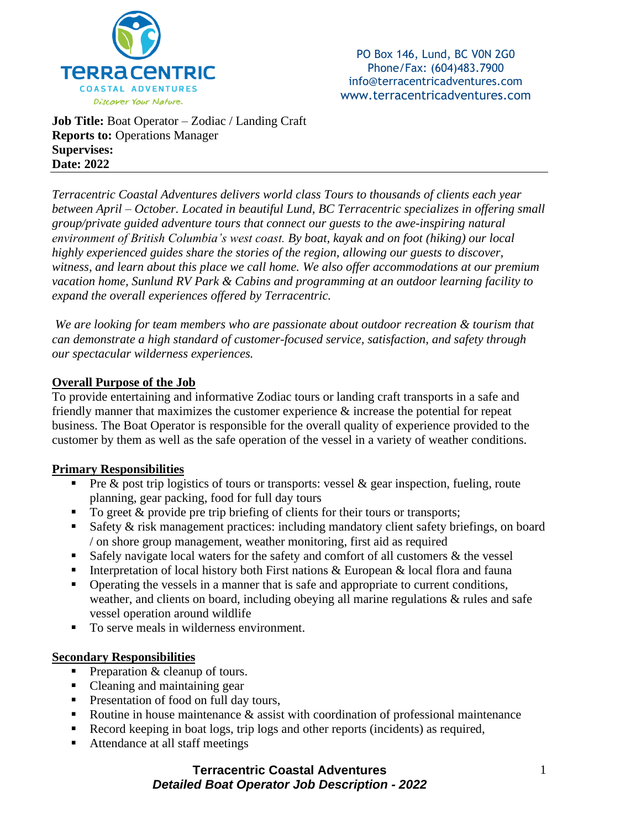

PO Box 146, Lund, BC V0N 2G0 Phone/Fax: (604)483.7900 info@terracentricadventures.com www.terracentricadventures.com

**Job Title:** Boat Operator – Zodiac / Landing Craft **Reports to:** Operations Manager **Supervises: Date: 2022**

*Terracentric Coastal Adventures delivers world class Tours to thousands of clients each year between April – October. Located in beautiful Lund, BC Terracentric specializes in offering small group/private guided adventure tours that connect our guests to the awe-inspiring natural environment of British Columbia's west coast. By boat, kayak and on foot (hiking) our local highly experienced guides share the stories of the region, allowing our guests to discover, witness, and learn about this place we call home. We also offer accommodations at our premium vacation home, Sunlund RV Park & Cabins and programming at an outdoor learning facility to expand the overall experiences offered by Terracentric.*

*We are looking for team members who are passionate about outdoor recreation & tourism that can demonstrate a high standard of customer-focused service, satisfaction, and safety through our spectacular wilderness experiences.*

#### **Overall Purpose of the Job**

To provide entertaining and informative Zodiac tours or landing craft transports in a safe and friendly manner that maximizes the customer experience & increase the potential for repeat business. The Boat Operator is responsible for the overall quality of experience provided to the customer by them as well as the safe operation of the vessel in a variety of weather conditions.

#### **Primary Responsibilities**

- **•** Pre  $\&$  post trip logistics of tours or transports: vessel  $\&$  gear inspection, fueling, route planning, gear packing, food for full day tours
- To greet & provide pre trip briefing of clients for their tours or transports;
- Safety & risk management practices: including mandatory client safety briefings, on board / on shore group management, weather monitoring, first aid as required
- **Example 1** Safely navigate local waters for the safety and comfort of all customers  $\&$  the vessel
- **EXECUTE:** Interpretation of local history both First nations  $\& European & local flora and fauna$
- **•** Operating the vessels in a manner that is safe and appropriate to current conditions, weather, and clients on board, including obeying all marine regulations & rules and safe vessel operation around wildlife
- To serve meals in wilderness environment.

#### **Secondary Responsibilities**

- **•** Preparation  $&$  cleanup of tours.
- Cleaning and maintaining gear
- Presentation of food on full day tours,
- E Routine in house maintenance  $\&$  assist with coordination of professional maintenance
- Record keeping in boat logs, trip logs and other reports (incidents) as required,
- Attendance at all staff meetings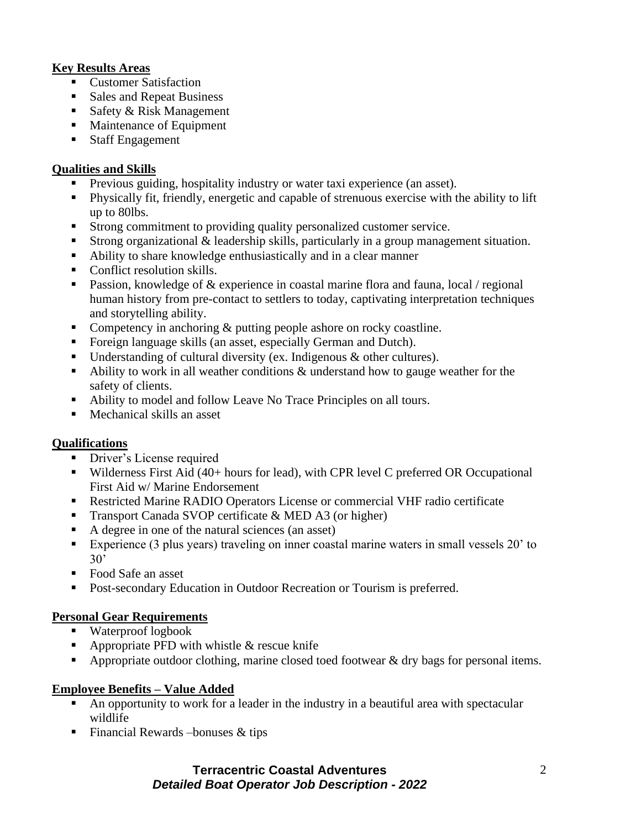# **Key Results Areas**

- Customer Satisfaction
- Sales and Repeat Business
- Safety & Risk Management
- Maintenance of Equipment
- Staff Engagement

### **Qualities and Skills**

- Previous guiding, hospitality industry or water taxi experience (an asset).
- Physically fit, friendly, energetic and capable of strenuous exercise with the ability to lift up to 80lbs.
- Strong commitment to providing quality personalized customer service.
- Strong organizational & leadership skills, particularly in a group management situation.
- Ability to share knowledge enthusiastically and in a clear manner
- Conflict resolution skills.
- **•** Passion, knowledge of  $\&$  experience in coastal marine flora and fauna, local / regional human history from pre-contact to settlers to today, captivating interpretation techniques and storytelling ability.
- Competency in anchoring & putting people ashore on rocky coastline.
- Foreign language skills (an asset, especially German and Dutch).
- Understanding of cultural diversity (ex. Indigenous & other cultures).
- Ability to work in all weather conditions & understand how to gauge weather for the safety of clients.
- Ability to model and follow Leave No Trace Principles on all tours.
- Mechanical skills an asset

# **Qualifications**

- **•** Driver's License required
- Wilderness First Aid (40+ hours for lead), with CPR level C preferred OR Occupational First Aid w/ Marine Endorsement
- Restricted Marine RADIO Operators License or commercial VHF radio certificate
- Transport Canada SVOP certificate & MED A3 (or higher)
- A degree in one of the natural sciences (an asset)
- Experience (3 plus years) traveling on inner coastal marine waters in small vessels 20' to 30'
- Food Safe an asset
- Post-secondary Education in Outdoor Recreation or Tourism is preferred.

# **Personal Gear Requirements**

- Waterproof logbook
- **•** Appropriate PFD with whistle  $&$  rescue knife
- **•** Appropriate outdoor clothing, marine closed toed footwear  $\&$  dry bags for personal items.

# **Employee Benefits – Value Added**

- An opportunity to work for a leader in the industry in a beautiful area with spectacular wildlife
- $\blacksquare$  Financial Rewards –bonuses & tips